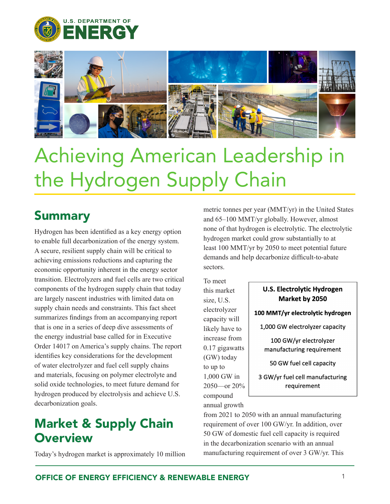



# Achieving American Leadership in the Hydrogen Supply Chain

#### Summary

Hydrogen has been identified as a key energy option to enable full decarbonization of the energy system. A secure, resilient supply chain will be critical to achieving emissions reductions and capturing the economic opportunity inherent in the energy sector transition. Electrolyzers and fuel cells are two critical components of the hydrogen supply chain that today are largely nascent industries with limited data on supply chain needs and constraints. This fact sheet summarizes findings from an accompanying report that is one in a series of deep dive assessments of the energy industrial base called for in Executive Order 14017 on America's supply chains. The report identifies key considerations for the development of water electrolyzer and fuel cell supply chains and materials, focusing on polymer electrolyte and solid oxide technologies, to meet future demand for hydrogen produced by electrolysis and achieve U.S. decarbonization goals.

### Market & Supply Chain **Overview**

Today's hydrogen market is approximately 10 million

metric tonnes per year (MMT/yr) in the United States and 65–100 MMT/yr globally. However, almost none of that hydrogen is electrolytic. The electrolytic hydrogen market could grow substantially to at least 100 MMT/yr by 2050 to meet potential future demands and help decarbonize difficult-to-abate sectors.

To meet this market size, U.S. electrolyzer capacity will likely have t increase from  $0.17$  gigawat (GW) today to up to 1,000 GW in  $2050$ —or 20 compound annual growth

| <b>U.S. Electrolytic Hydrogen</b><br>Market by 2050 |
|-----------------------------------------------------|
| 100 MMT/yr electrolytic hydrogen                    |
| 1,000 GW electrolyzer capacity                      |
| 100 GW/yr electrolyzer<br>manufacturing requirement |
| 50 GW fuel cell capacity                            |
| 3 GW/yr fuel cell manufacturing<br>requirement      |

from 2021 to 2050 with an annual manufacturing requirement of over 100 GW/yr. In addition, over 50 GW of domestic fuel cell capacity is required in the decarbonization scenario with an annual manufacturing requirement of over 3 GW/yr. This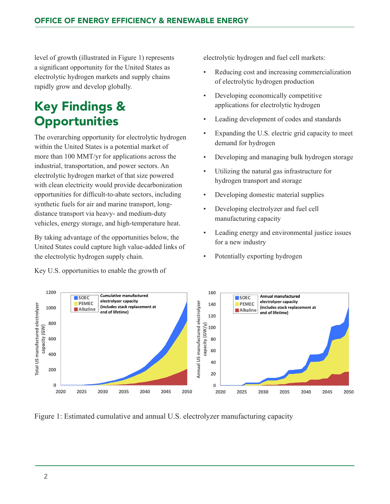level of growth (illustrated in Figure 1) represents a significant opportunity for the United States as electrolytic hydrogen markets and supply chains rapidly grow and develop globally.

## Key Findings & **Opportunities**

The overarching opportunity for electrolytic hydrogen within the United States is a potential market of more than 100 MMT/yr for applications across the industrial, transportation, and power sectors. An electrolytic hydrogen market of that size powered with clean electricity would provide decarbonization opportunities for difficult-to-abate sectors, including synthetic fuels for air and marine transport, longdistance transport via heavy- and medium-duty vehicles, energy storage, and high-temperature heat.

By taking advantage of the opportunities below, the United States could capture high value-added links of the electrolytic hydrogen supply chain.

Key U.S. opportunities to enable the growth of

electrolytic hydrogen and fuel cell markets:

- Reducing cost and increasing commercialization of electrolytic hydrogen production
- Developing economically competitive applications for electrolytic hydrogen
- Leading development of codes and standards
- Expanding the U.S. electric grid capacity to meet demand for hydrogen
- Developing and managing bulk hydrogen storage
- Utilizing the natural gas infrastructure for hydrogen transport and storage
- Developing domestic material supplies
- Developing electrolyzer and fuel cell manufacturing capacity
- Leading energy and environmental justice issues for a new industry
- Potentially exporting hydrogen



Figure 1: Estimated cumulative and annual U.S. electrolyzer manufacturing capacity